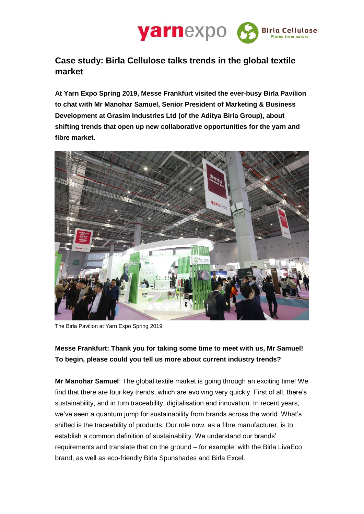

# **Case study: Birla Cellulose talks trends in the global textile market**

**At Yarn Expo Spring 2019, Messe Frankfurt visited the ever-busy Birla Pavilion to chat with Mr Manohar Samuel, Senior President of Marketing & Business Development at Grasim Industries Ltd (of the Aditya Birla Group), about shifting trends that open up new collaborative opportunities for the yarn and fibre market.** 



The Birla Pavilion at Yarn Expo Spring 2019

### **Messe Frankfurt: Thank you for taking some time to meet with us, Mr Samuel! To begin, please could you tell us more about current industry trends?**

**Mr Manohar Samuel**: The global textile market is going through an exciting time! We find that there are four key trends, which are evolving very quickly. First of all, there's sustainability, and in turn traceability, digitalisation and innovation. In recent years, we've seen a quantum jump for sustainability from brands across the world. What's shifted is the traceability of products. Our role now, as a fibre manufacturer, is to establish a common definition of sustainability. We understand our brands' requirements and translate that on the ground – for example, with the Birla LivaEco brand, as well as eco-friendly Birla Spunshades and Birla Excel.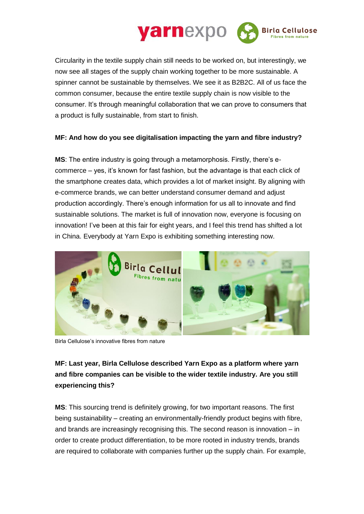

Circularity in the textile supply chain still needs to be worked on, but interestingly, we now see all stages of the supply chain working together to be more sustainable. A spinner cannot be sustainable by themselves. We see it as B2B2C. All of us face the common consumer, because the entire textile supply chain is now visible to the consumer. It's through meaningful collaboration that we can prove to consumers that a product is fully sustainable, from start to finish.

### **MF: And how do you see digitalisation impacting the yarn and fibre industry?**

**MS**: The entire industry is going through a metamorphosis. Firstly, there's ecommerce – yes, it's known for fast fashion, but the advantage is that each click of the smartphone creates data, which provides a lot of market insight. By aligning with e-commerce brands, we can better understand consumer demand and adjust production accordingly. There's enough information for us all to innovate and find sustainable solutions. The market is full of innovation now, everyone is focusing on innovation! I've been at this fair for eight years, and I feel this trend has shifted a lot in China. Everybody at Yarn Expo is exhibiting something interesting now.



Birla Cellulose's innovative fibres from nature

## **MF: Last year, Birla Cellulose described Yarn Expo as a platform where yarn and fibre companies can be visible to the wider textile industry. Are you still experiencing this?**

**MS**: This sourcing trend is definitely growing, for two important reasons. The first being sustainability – creating an environmentally-friendly product begins with fibre, and brands are increasingly recognising this. The second reason is innovation – in order to create product differentiation, to be more rooted in industry trends, brands are required to collaborate with companies further up the supply chain. For example,